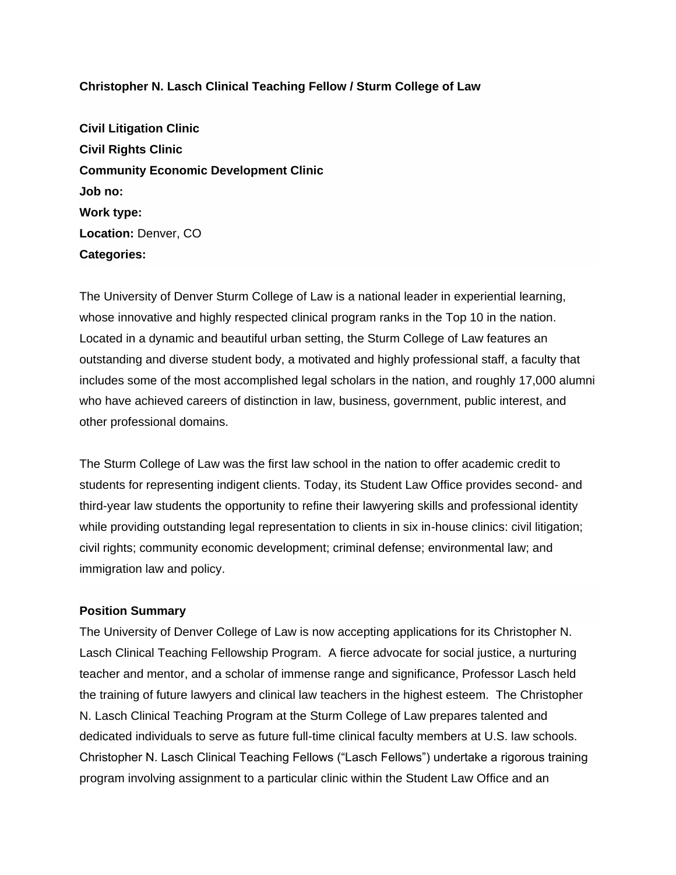# **Christopher N. Lasch Clinical Teaching Fellow / Sturm College of Law**

**Civil Litigation Clinic Civil Rights Clinic Community Economic Development Clinic Job no: Work type: Location:** Denver, CO **Categories:**

The University of Denver Sturm College of Law is a national leader in experiential learning, whose innovative and highly respected clinical program ranks in the Top 10 in the nation. Located in a dynamic and beautiful urban setting, the Sturm College of Law features an outstanding and diverse student body, a motivated and highly professional staff, a faculty that includes some of the most accomplished legal scholars in the nation, and roughly 17,000 alumni who have achieved careers of distinction in law, business, government, public interest, and other professional domains.

The Sturm College of Law was the first law school in the nation to offer academic credit to students for representing indigent clients. Today, its Student Law Office provides second- and third-year law students the opportunity to refine their lawyering skills and professional identity while providing outstanding legal representation to clients in six in-house clinics: civil litigation; civil rights; community economic development; criminal defense; environmental law; and immigration law and policy.

# **Position Summary**

The University of Denver College of Law is now accepting applications for its Christopher N. Lasch Clinical Teaching Fellowship Program. A fierce advocate for social justice, a nurturing teacher and mentor, and a scholar of immense range and significance, Professor Lasch held the training of future lawyers and clinical law teachers in the highest esteem. The Christopher N. Lasch Clinical Teaching Program at the Sturm College of Law prepares talented and dedicated individuals to serve as future full-time clinical faculty members at U.S. law schools. Christopher N. Lasch Clinical Teaching Fellows ("Lasch Fellows") undertake a rigorous training program involving assignment to a particular clinic within the Student Law Office and an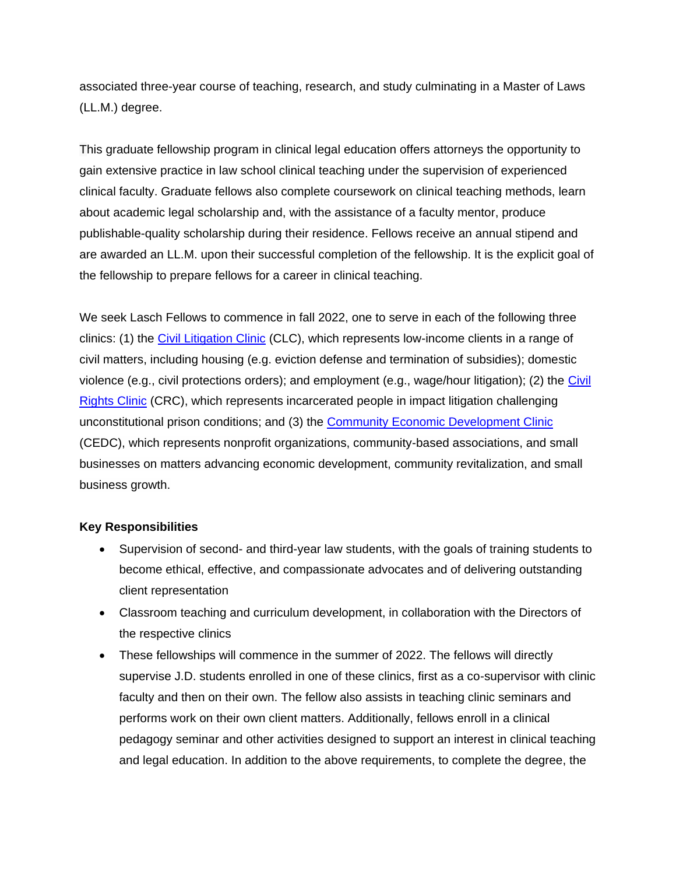associated three-year course of teaching, research, and study culminating in a Master of Laws (LL.M.) degree.

This graduate fellowship program in clinical legal education offers attorneys the opportunity to gain extensive practice in law school clinical teaching under the supervision of experienced clinical faculty. Graduate fellows also complete coursework on clinical teaching methods, learn about academic legal scholarship and, with the assistance of a faculty mentor, produce publishable-quality scholarship during their residence. Fellows receive an annual stipend and are awarded an LL.M. upon their successful completion of the fellowship. It is the explicit goal of the fellowship to prepare fellows for a career in clinical teaching.

We seek Lasch Fellows to commence in fall 2022, one to serve in each of the following three clinics: (1) the [Civil Litigation Clinic](https://www.law.du.edu/academics/practical-experience/clinical-programs/civil-litigation) (CLC), which represents low-income clients in a range of civil matters, including housing (e.g. eviction defense and termination of subsidies); domestic violence (e.g., civil protections orders); and employment (e.g., wage/hour litigation); (2) the [Civil](https://www.law.du.edu/academics/practical-experience/clinical-programs/civil-rights)  [Rights Clinic](https://www.law.du.edu/academics/practical-experience/clinical-programs/civil-rights) (CRC), which represents incarcerated people in impact litigation challenging unconstitutional prison conditions; and (3) the [Community Economic Development Clinic](https://www.law.du.edu/academics/practical-experience/clinical-programs/community-economic-development) (CEDC), which represents nonprofit organizations, community-based associations, and small businesses on matters advancing economic development, community revitalization, and small business growth.

#### **Key Responsibilities**

- Supervision of second- and third-year law students, with the goals of training students to become ethical, effective, and compassionate advocates and of delivering outstanding client representation
- Classroom teaching and curriculum development, in collaboration with the Directors of the respective clinics
- These fellowships will commence in the summer of 2022. The fellows will directly supervise J.D. students enrolled in one of these clinics, first as a co-supervisor with clinic faculty and then on their own. The fellow also assists in teaching clinic seminars and performs work on their own client matters. Additionally, fellows enroll in a clinical pedagogy seminar and other activities designed to support an interest in clinical teaching and legal education. In addition to the above requirements, to complete the degree, the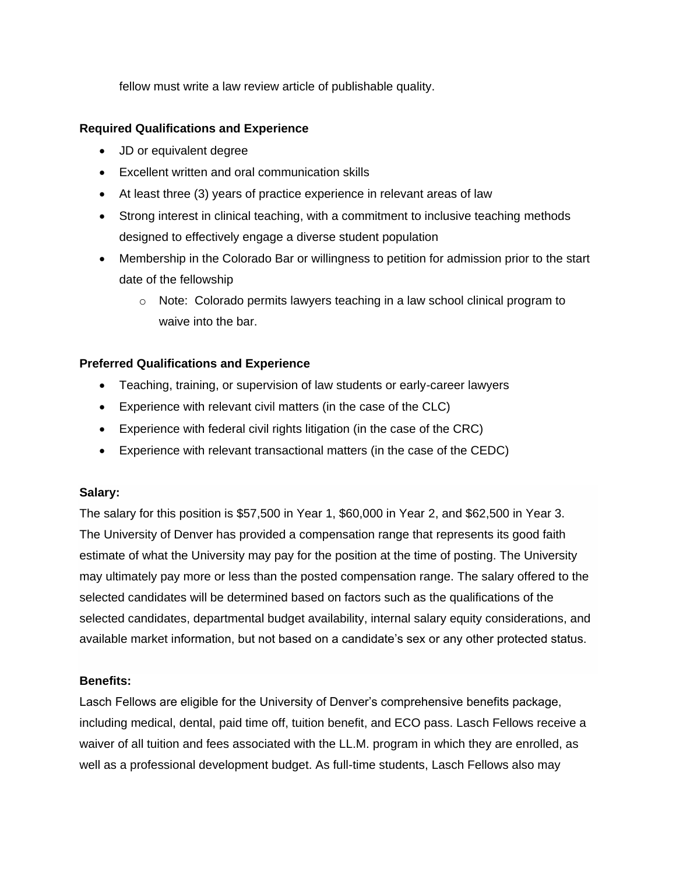fellow must write a law review article of publishable quality.

# **Required Qualifications and Experience**

- JD or equivalent degree
- Excellent written and oral communication skills
- At least three (3) years of practice experience in relevant areas of law
- Strong interest in clinical teaching, with a commitment to inclusive teaching methods designed to effectively engage a diverse student population
- Membership in the Colorado Bar or willingness to petition for admission prior to the start date of the fellowship
	- $\circ$  Note: Colorado permits lawyers teaching in a law school clinical program to waive into the bar.

# **Preferred Qualifications and Experience**

- Teaching, training, or supervision of law students or early-career lawyers
- Experience with relevant civil matters (in the case of the CLC)
- Experience with federal civil rights litigation (in the case of the CRC)
- Experience with relevant transactional matters (in the case of the CEDC)

# **Salary:**

The salary for this position is \$57,500 in Year 1, \$60,000 in Year 2, and \$62,500 in Year 3. The University of Denver has provided a compensation range that represents its good faith estimate of what the University may pay for the position at the time of posting. The University may ultimately pay more or less than the posted compensation range. The salary offered to the selected candidates will be determined based on factors such as the qualifications of the selected candidates, departmental budget availability, internal salary equity considerations, and available market information, but not based on a candidate's sex or any other protected status.

# **Benefits:**

Lasch Fellows are eligible for the University of Denver's comprehensive benefits package, including medical, dental, paid time off, tuition benefit, and ECO pass. Lasch Fellows receive a waiver of all tuition and fees associated with the LL.M. program in which they are enrolled, as well as a professional development budget. As full-time students, Lasch Fellows also may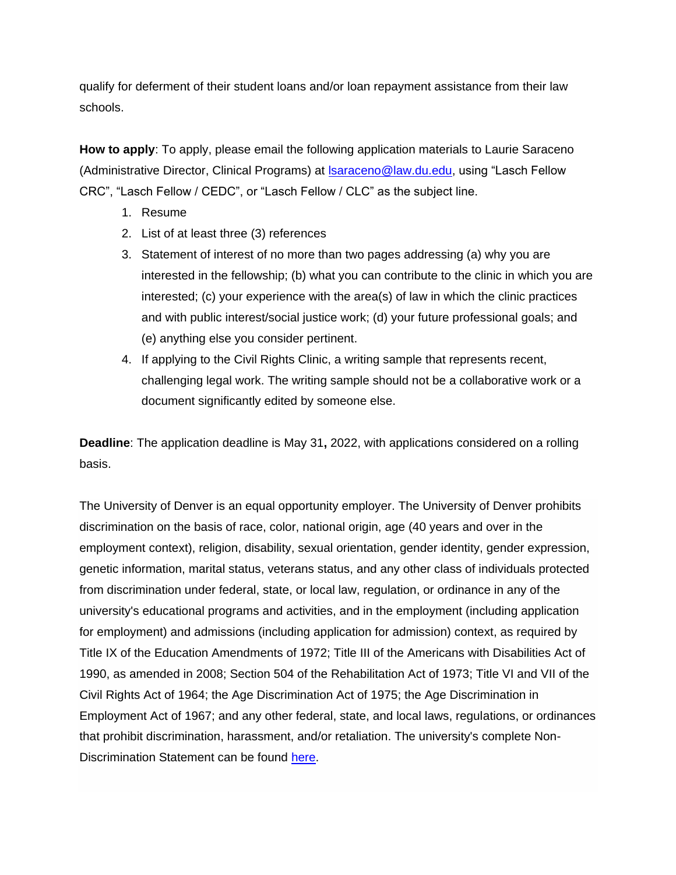qualify for deferment of their student loans and/or loan repayment assistance from their law schools.

**How to apply**: To apply, please email the following application materials to Laurie Saraceno (Administrative Director, Clinical Programs) at [lsaraceno@law.du.edu,](mailto:lsaraceno@law.du.edu) using "Lasch Fellow CRC", "Lasch Fellow / CEDC", or "Lasch Fellow / CLC" as the subject line.

- 1. Resume
- 2. List of at least three (3) references
- 3. Statement of interest of no more than two pages addressing (a) why you are interested in the fellowship; (b) what you can contribute to the clinic in which you are interested; (c) your experience with the area(s) of law in which the clinic practices and with public interest/social justice work; (d) your future professional goals; and (e) anything else you consider pertinent.
- 4. If applying to the Civil Rights Clinic, a writing sample that represents recent, challenging legal work. The writing sample should not be a collaborative work or a document significantly edited by someone else.

**Deadline**: The application deadline is May 31**,** 2022, with applications considered on a rolling basis.

The University of Denver is an equal opportunity employer. The University of Denver prohibits discrimination on the basis of race, color, national origin, age (40 years and over in the employment context), religion, disability, sexual orientation, gender identity, gender expression, genetic information, marital status, veterans status, and any other class of individuals protected from discrimination under federal, state, or local law, regulation, or ordinance in any of the university's educational programs and activities, and in the employment (including application for employment) and admissions (including application for admission) context, as required by Title IX of the Education Amendments of 1972; Title III of the Americans with Disabilities Act of 1990, as amended in 2008; Section 504 of the Rehabilitation Act of 1973; Title VI and VII of the Civil Rights Act of 1964; the Age Discrimination Act of 1975; the Age Discrimination in Employment Act of 1967; and any other federal, state, and local laws, regulations, or ordinances that prohibit discrimination, harassment, and/or retaliation. The university's complete Non-Discrimination Statement can be found [here.](https://www.du.edu/equalopportunity/non-discrimination-statement)